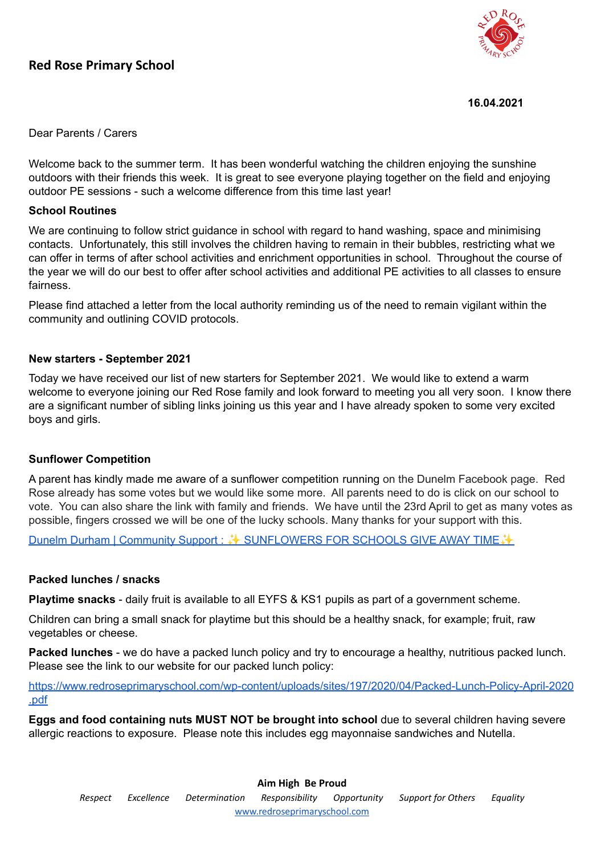## **Red Rose Primary School**



**16.04.2021**

Dear Parents / Carers

Welcome back to the summer term. It has been wonderful watching the children enjoying the sunshine outdoors with their friends this week. It is great to see everyone playing together on the field and enjoying outdoor PE sessions - such a welcome difference from this time last year!

#### **School Routines**

We are continuing to follow strict guidance in school with regard to hand washing, space and minimising contacts. Unfortunately, this still involves the children having to remain in their bubbles, restricting what we can offer in terms of after school activities and enrichment opportunities in school. Throughout the course of the year we will do our best to offer after school activities and additional PE activities to all classes to ensure fairness.

Please find attached a letter from the local authority reminding us of the need to remain vigilant within the community and outlining COVID protocols.

#### **New starters - September 2021**

Today we have received our list of new starters for September 2021. We would like to extend a warm welcome to everyone joining our Red Rose family and look forward to meeting you all very soon. I know there are a significant number of sibling links joining us this year and I have already spoken to some very excited boys and girls.

#### **Sunflower Competition**

A parent has kindly made me aware of a sunflower competition running on the Dunelm Facebook page. Red Rose already has some votes but we would like some more. All parents need to do is click on our school to vote. You can also share the link with family and friends. We have until the 23rd April to get as many votes as possible, fingers crossed we will be one of the lucky schools. Many thanks for your support with this.

Dunelm Durham | Community Support : ↓ [SUNFLOWERS](https://www.facebook.com/groups/594815784441096/permalink/816023428986996/) FOR SCHOOLS GIVE AWAY TIME →

#### **Packed lunches / snacks**

**Playtime snacks** - daily fruit is available to all EYFS & KS1 pupils as part of a government scheme.

Children can bring a small snack for playtime but this should be a healthy snack, for example; fruit, raw vegetables or cheese.

**Packed lunches** - we do have a packed lunch policy and try to encourage a healthy, nutritious packed lunch. Please see the link to our website for our packed lunch policy:

[https://www.redroseprimaryschool.com/wp-content/uploads/sites/197/2020/04/Packed-Lunch-Policy-April-2020](https://www.redroseprimaryschool.com/wp-content/uploads/sites/197/2020/04/Packed-Lunch-Policy-April-2020.pdf) [.pdf](https://www.redroseprimaryschool.com/wp-content/uploads/sites/197/2020/04/Packed-Lunch-Policy-April-2020.pdf)

**Eggs and food containing nuts MUST NOT be brought into school** due to several children having severe allergic reactions to exposure. Please note this includes egg mayonnaise sandwiches and Nutella.